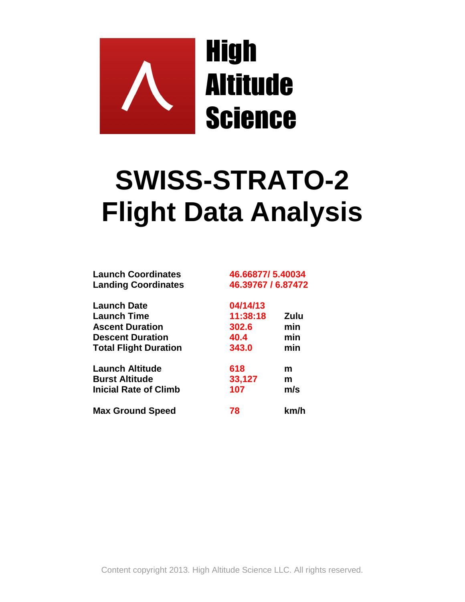

## **SWISS-STRATO-2 Flight Data Analysis**

| <b>Launch Coordinates</b><br><b>Landing Coordinates</b> | 46.66877/5.40034<br>46.39767 / 6.87472 |      |
|---------------------------------------------------------|----------------------------------------|------|
| <b>Launch Date</b>                                      | 04/14/13                               |      |
| <b>Launch Time</b>                                      | 11:38:18                               | Zulu |
| <b>Ascent Duration</b>                                  | 302.6                                  | min  |
| <b>Descent Duration</b>                                 | 40.4                                   | min  |
| <b>Total Flight Duration</b>                            | 343.0                                  | min  |
| Launch Altitude                                         | 618                                    | m    |
| <b>Burst Altitude</b>                                   | 33,127                                 | m    |
| <b>Inicial Rate of Climb</b>                            | 107                                    | m/s  |
| <b>Max Ground Speed</b>                                 | 78                                     | km/h |

Content copyright 2013. High Altitude Science LLC. All rights reserved.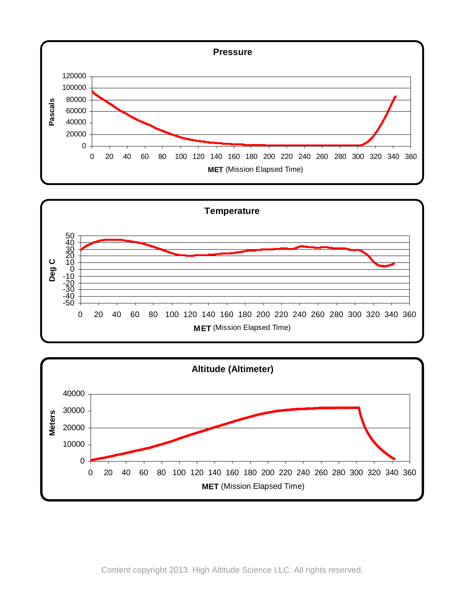





Content copyright 2013. High Altitude Science LLC. All rights reserved.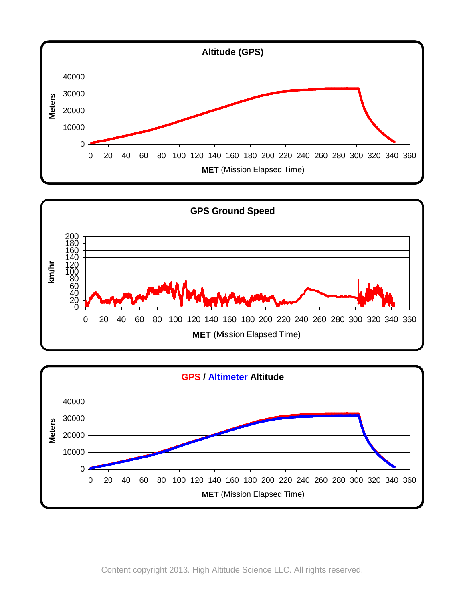





Content copyright 2013. High Altitude Science LLC. All rights reserved.